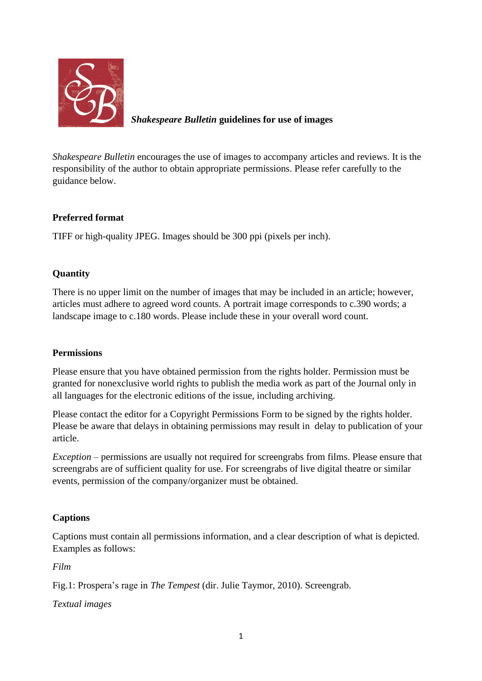

# *Shakespeare Bulletin* **guidelines for use of images**

*Shakespeare Bulletin* encourages the use of images to accompany articles and reviews. It is the responsibility of the author to obtain appropriate permissions. Please refer carefully to the guidance below.

### **Preferred format**

TIFF or high-quality JPEG. Images should be 300 ppi (pixels per inch).

## **Quantity**

There is no upper limit on the number of images that may be included in an article; however, articles must adhere to agreed word counts. A portrait image corresponds to c.390 words; a landscape image to c.180 words. Please include these in your overall word count.

#### **Permissions**

Please ensure that you have obtained permission from the rights holder. Permission must be granted for nonexclusive world rights to publish the media work as part of the Journal only in all languages for the electronic editions of the issue, including archiving.

Please contact the editor for a Copyright Permissions Form to be signed by the rights holder. Please be aware that delays in obtaining permissions may result in delay to publication of your article.

*Exception* – permissions are usually not required for screengrabs from films. Please ensure that screengrabs are of sufficient quality for use. For screengrabs of live digital theatre or similar events, permission of the company/organizer must be obtained.

## **Captions**

Captions must contain all permissions information, and a clear description of what is depicted. Examples as follows:

*Film*

Fig.1: Prospera's rage in *The Tempest* (dir. Julie Taymor, 2010). Screengrab.

*Textual images*